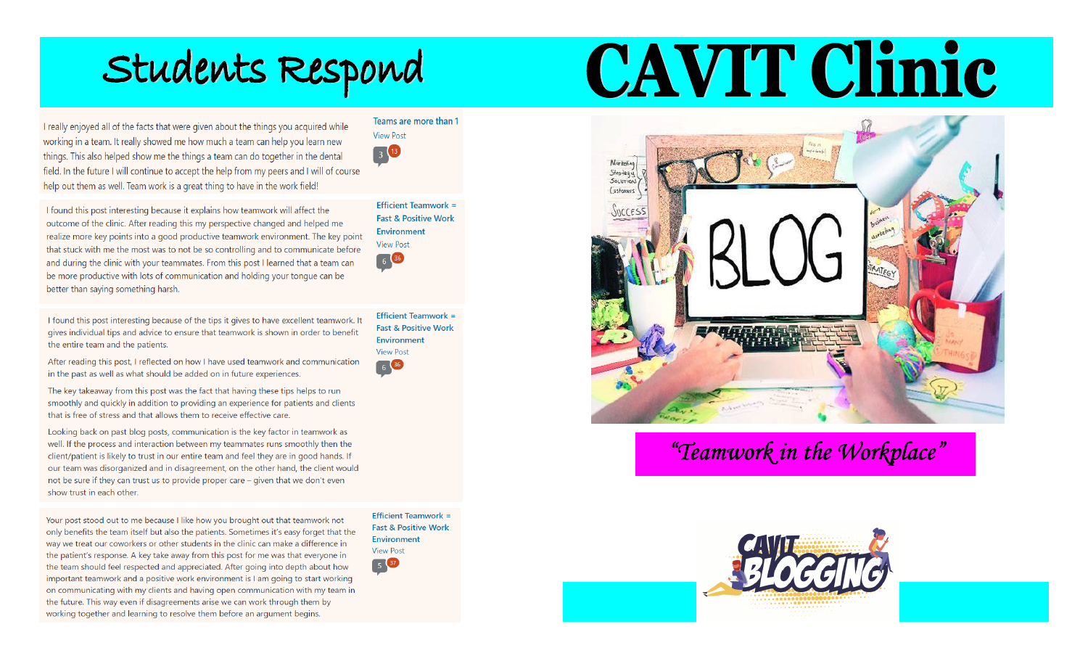# Students Respond

I really enjoyed all of the facts that were given about the things you acquired while working in a team. It really showed me how much a team can help you learn new things. This also helped show me the things a team can do together in the dental field. In the future I will continue to accept the help from my peers and I will of course help out them as well. Team work is a great thing to have in the work field!

I found this post interesting because it explains how teamwork will affect the outcome of the clinic. After reading this my perspective changed and helped me realize more key points into a good productive teamwork environment. The key point that stuck with me the most was to not be so controlling and to communicate before and during the clinic with your teammates. From this post I learned that a team can be more productive with lots of communication and holding your tongue can be better than saying something harsh.

I found this post interesting because of the tips it gives to have excellent teamwork. It gives individual tips and advice to ensure that teamwork is shown in order to benefit the entire team and the patients.

After reading this post, I reflected on how I have used teamwork and communication in the past as well as what should be added on in future experiences.

The key takeaway from this post was the fact that having these tips helps to run smoothly and quickly in addition to providing an experience for patients and clients that is free of stress and that allows them to receive effective care.

Looking back on past blog posts, communication is the key factor in teamwork as well. If the process and interaction between my teammates runs smoothly then the client/patient is likely to trust in our entire team and feel they are in good hands. If our team was disorganized and in disagreement, on the other hand, the client would not be sure if they can trust us to provide proper care – given that we don't even show trust in each other.

Your post stood out to me because I like how you brought out that teamwork not only benefits the team itself but also the patients. Sometimes it's easy forget that the way we treat our coworkers or other students in the clinic can make a difference in the patient's response. A key take away from this post for me was that everyone in the team should feel respected and appreciated. After going into depth about how important teamwork and a positive work environment is I am going to start working on communicating with my clients and having open communication with my team in the future. This way even if disagreements arise we can work through them by working together and learning to resolve them before an argument begins.

**Efficient Teamwork = Fast & Positive Work** Environment **View Post** 5 37

CAVIT Clinic



## "Teamwork in the Workplace"



 $\begin{array}{|c|c|} \hline 3 & 13 \\ \hline \end{array}$ Efficient Teamwork = **Fast & Positive Work** 

**Environment** 

**View Post** 

Teams are more than 1

**View Post** 6 36 Efficient Teamwork =

**Fast & Positive Work** Environment **View Post** 6 36